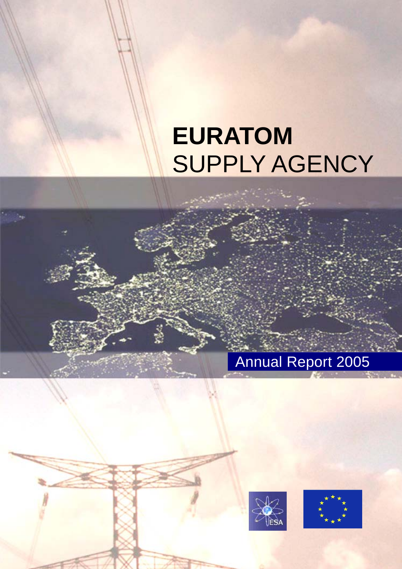# **EURATOM SUPPLY AGENCY**

# Annual Report 2005



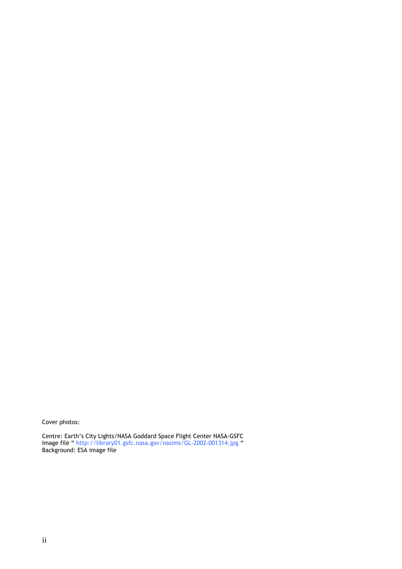Cover photos:

Centre: Earth's City Lights/NASA Goddard Space Flight Center NASA-GSFC Image file [" http://library01.gsfc.nasa.gov/nasims/GL-2002-001314.jpg](http://library01.gsfc.nasa.gov/nasims/GL-2002-001314.jpg) " Background: ESA image file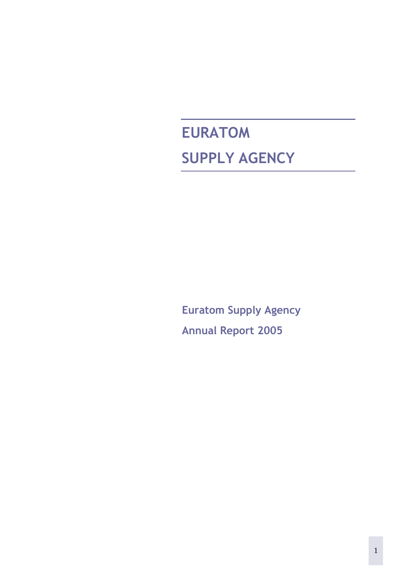# **EURATOM SUPPLY AGENCY**

**Euratom Supply Agency Annual Report 2005**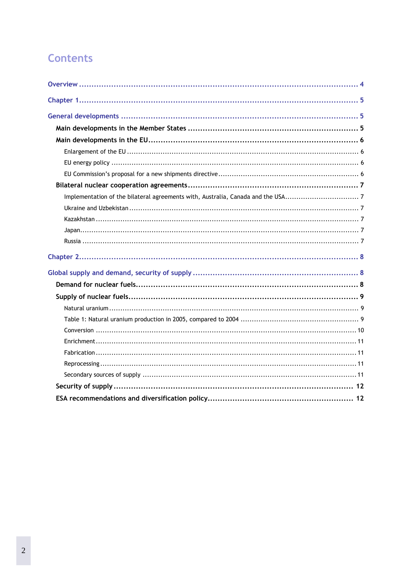# **Contents**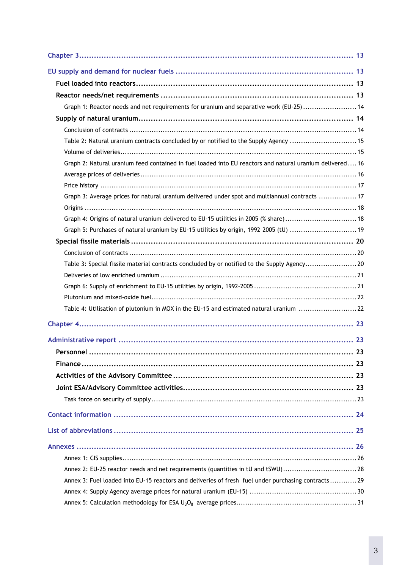| Graph 1: Reactor needs and net requirements for uranium and separative work (EU-25) 14                    |    |
|-----------------------------------------------------------------------------------------------------------|----|
|                                                                                                           |    |
|                                                                                                           |    |
| Table 2: Natural uranium contracts concluded by or notified to the Supply Agency 15                       |    |
|                                                                                                           |    |
| Graph 2: Natural uranium feed contained in fuel loaded into EU reactors and natural uranium delivered  16 |    |
|                                                                                                           |    |
|                                                                                                           |    |
| Graph 3: Average prices for natural uranium delivered under spot and multiannual contracts 17             |    |
|                                                                                                           |    |
| Graph 4: Origins of natural uranium delivered to EU-15 utilities in 2005 (% share) 18                     |    |
| Graph 5: Purchases of natural uranium by EU-15 utilities by origin, 1992-2005 (tU) 19                     |    |
|                                                                                                           |    |
|                                                                                                           |    |
| Table 3: Special fissile material contracts concluded by or notified to the Supply Agency20               |    |
|                                                                                                           |    |
|                                                                                                           |    |
|                                                                                                           |    |
| Table 4: Utilisation of plutonium in MOX in the EU-15 and estimated natural uranium 22                    |    |
|                                                                                                           |    |
|                                                                                                           |    |
|                                                                                                           | 23 |
|                                                                                                           |    |
|                                                                                                           |    |
|                                                                                                           |    |
|                                                                                                           |    |
|                                                                                                           |    |
|                                                                                                           |    |
|                                                                                                           |    |
|                                                                                                           |    |
| Annex 2: EU-25 reactor needs and net requirements (quantities in tU and tSWU)28                           |    |
| Annex 3: Fuel loaded into EU-15 reactors and deliveries of fresh fuel under purchasing contracts29        |    |
|                                                                                                           |    |
|                                                                                                           |    |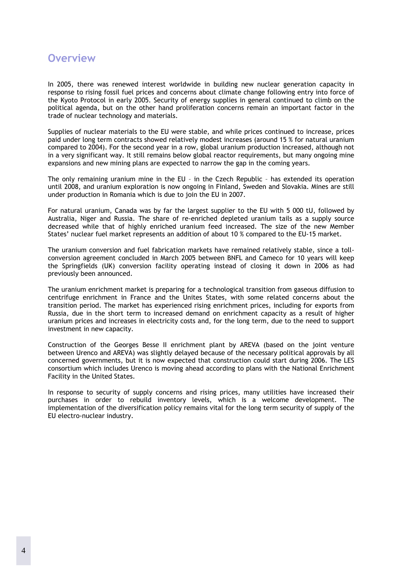### <span id="page-5-0"></span>**Overview**

In 2005, there was renewed interest worldwide in building new nuclear generation capacity in response to rising fossil fuel prices and concerns about climate change following entry into force of the Kyoto Protocol in early 2005. Security of energy supplies in general continued to climb on the political agenda, but on the other hand proliferation concerns remain an important factor in the trade of nuclear technology and materials.

Supplies of nuclear materials to the EU were stable, and while prices continued to increase, prices paid under long term contracts showed relatively modest increases (around 15 % for natural uranium compared to 2004). For the second year in a row, global uranium production increased, although not in a very significant way. It still remains below global reactor requirements, but many ongoing mine expansions and new mining plans are expected to narrow the gap in the coming years.

The only remaining uranium mine in the EU – in the Czech Republic – has extended its operation until 2008, and uranium exploration is now ongoing in Finland, Sweden and Slovakia. Mines are still under production in Romania which is due to join the EU in 2007.

For natural uranium, Canada was by far the largest supplier to the EU with 5 000 tU, followed by Australia, Niger and Russia. The share of re-enriched depleted uranium tails as a supply source decreased while that of highly enriched uranium feed increased. The size of the new Member States' nuclear fuel market represents an addition of about 10 % compared to the EU-15 market.

The uranium conversion and fuel fabrication markets have remained relatively stable, since a tollconversion agreement concluded in March 2005 between BNFL and Cameco for 10 years will keep the Springfields (UK) conversion facility operating instead of closing it down in 2006 as had previously been announced.

The uranium enrichment market is preparing for a technological transition from gaseous diffusion to centrifuge enrichment in France and the Unites States, with some related concerns about the transition period. The market has experienced rising enrichment prices, including for exports from Russia, due in the short term to increased demand on enrichment capacity as a result of higher uranium prices and increases in electricity costs and, for the long term, due to the need to support investment in new capacity.

Construction of the Georges Besse II enrichment plant by AREVA (based on the joint venture between Urenco and AREVA) was slightly delayed because of the necessary political approvals by all concerned governments, but it is now expected that construction could start during 2006. The LES consortium which includes Urenco is moving ahead according to plans with the National Enrichment Facility in the United States.

In response to security of supply concerns and rising prices, many utilities have increased their purchases in order to rebuild inventory levels, which is a welcome development. The implementation of the diversification policy remains vital for the long term security of supply of the EU electro-nuclear industry.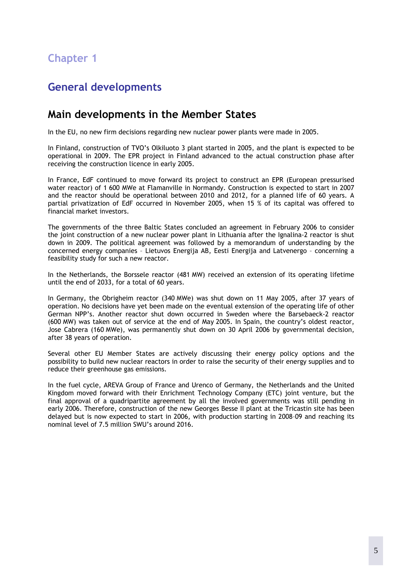# <span id="page-6-0"></span>**Chapter 1**

# <span id="page-6-1"></span>**General developments**

### <span id="page-6-2"></span>**Main developments in the Member States**

In the EU, no new firm decisions regarding new nuclear power plants were made in 2005.

In Finland, construction of TVO's Olkiluoto 3 plant started in 2005, and the plant is expected to be operational in 2009. The EPR project in Finland advanced to the actual construction phase after receiving the construction licence in early 2005.

In France, EdF continued to move forward its project to construct an EPR (European pressurised water reactor) of 1 600 MWe at Flamanville in Normandy. Construction is expected to start in 2007 and the reactor should be operational between 2010 and 2012, for a planned life of 60 years. A partial privatization of EdF occurred in November 2005, when 15 % of its capital was offered to financial market investors.

The governments of the three Baltic States concluded an agreement in February 2006 to consider the joint construction of a new nuclear power plant in Lithuania after the Ignalina-2 reactor is shut down in 2009. The political agreement was followed by a memorandum of understanding by the concerned energy companies – Lietuvos Energija AB, Eesti Energija and Latvenergo – concerning a feasibility study for such a new reactor.

In the Netherlands, the Borssele reactor (481 MW) received an extension of its operating lifetime until the end of 2033, for a total of 60 years.

In Germany, the Obrigheim reactor (340 MWe) was shut down on 11 May 2005, after 37 years of operation. No decisions have yet been made on the eventual extension of the operating life of other German NPP's. Another reactor shut down occurred in Sweden where the Barsebaeck-2 reactor (600 MW) was taken out of service at the end of May 2005. In Spain, the country's oldest reactor, Jose Cabrera (160 MWe), was permanently shut down on 30 April 2006 by governmental decision, after 38 years of operation.

Several other EU Member States are actively discussing their energy policy options and the possibility to build new nuclear reactors in order to raise the security of their energy supplies and to reduce their greenhouse gas emissions.

In the fuel cycle, AREVA Group of France and Urenco of Germany, the Netherlands and the United Kingdom moved forward with their Enrichment Technology Company (ETC) joint venture, but the final approval of a quadripartite agreement by all the involved governments was still pending in early 2006. Therefore, construction of the new Georges Besse II plant at the Tricastin site has been delayed but is now expected to start in 2006, with production starting in 2008–09 and reaching its nominal level of 7.5 million SWU's around 2016.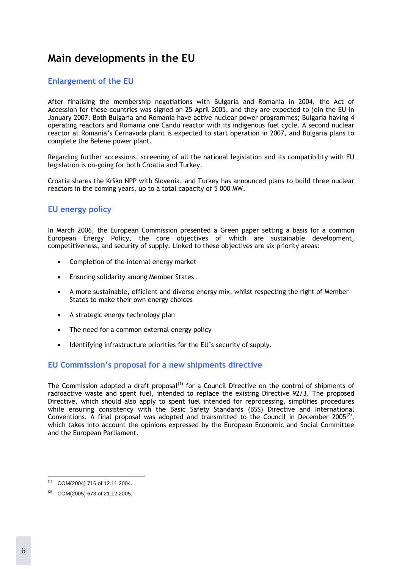# <span id="page-7-0"></span>**Main developments in the EU**

#### <span id="page-7-1"></span>**Enlargement of the EU**

After finalising the membership negotiations with Bulgaria and Romania in 2004, the Act of Accession for these countries was signed on 25 April 2005, and they are expected to join the EU in January 2007. Both Bulgaria and Romania have active nuclear power programmes; Bulgaria having 4 operating reactors and Romania one Candu reactor with its indigenous fuel cycle. A second nuclear reactor at Romania's Cernavoda plant is expected to start operation in 2007, and Bulgaria plans to complete the Belene power plant.

Regarding further accessions, screening of all the national legislation and its compatibility with EU legislation is on-going for both Croatia and Turkey.

Croatia shares the Krško NPP with Slovenia, and Turkey has announced plans to build three nuclear reactors in the coming years, up to a total capacity of 5 000 MW.

#### <span id="page-7-2"></span>**EU energy policy**

In March 2006, the European Commission presented a Green paper setting a basis for a common European Energy Policy, the core objectives of which are sustainable development, competitiveness, and security of supply. Linked to these objectives are six priority areas:

- Completion of the internal energy market
- Ensuring solidarity among Member States
- A more sustainable, efficient and diverse energy mix, whilst respecting the right of Member States to make their own energy choices
- A strategic energy technology plan
- The need for a common external energy policy
- Identifying infrastructure priorities for the EU's security of supply.

#### <span id="page-7-3"></span>**EU Commission's proposal for a new shipments directive**

The Commission adopted a draft proposal<sup>(1)</sup> for a Council Directive on the control of shipments of radioactive waste and spent fuel, intended to replace the existing Directive 92/3. The proposed Directive, which should also apply to spent fuel intended for reprocessing, simplifies procedures while ensuring consistency with the Basic Safety Standards (BSS) Directive and International Conventions. A final proposal was adopted and transmitted to the Council in December 2005<sup>(2)</sup>. which takes into account the opinions expressed by the European Economic and Social Committee and the European Parliament.

 $\overline{a}$  $^{(1)}$  COM(2004) 716 of 12.11.2004.

 $(2)$  COM(2005) 673 of 21.12.2005.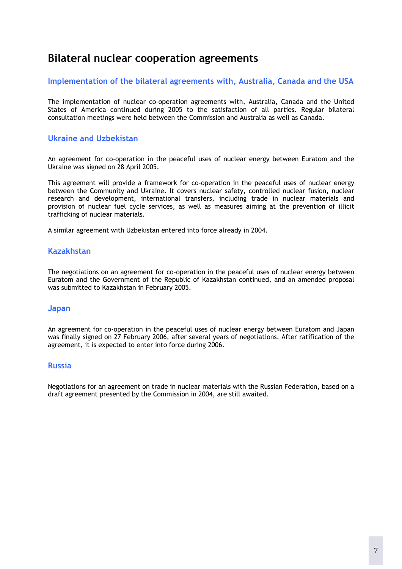# <span id="page-8-0"></span>**Bilateral nuclear cooperation agreements**

#### <span id="page-8-1"></span>**Implementation of the bilateral agreements with, Australia, Canada and the USA**

The implementation of nuclear co-operation agreements with, Australia, Canada and the United States of America continued during 2005 to the satisfaction of all parties. Regular bilateral consultation meetings were held between the Commission and Australia as well as Canada.

#### <span id="page-8-2"></span>**Ukraine and Uzbekistan**

An agreement for co-operation in the peaceful uses of nuclear energy between Euratom and the Ukraine was signed on 28 April 2005.

This agreement will provide a framework for co-operation in the peaceful uses of nuclear energy between the Community and Ukraine. It covers nuclear safety, controlled nuclear fusion, nuclear research and development, international transfers, including trade in nuclear materials and provision of nuclear fuel cycle services, as well as measures aiming at the prevention of illicit trafficking of nuclear materials.

A similar agreement with Uzbekistan entered into force already in 2004.

#### <span id="page-8-3"></span>**Kazakhstan**

The negotiations on an agreement for co-operation in the peaceful uses of nuclear energy between Euratom and the Government of the Republic of Kazakhstan continued, and an amended proposal was submitted to Kazakhstan in February 2005.

#### <span id="page-8-4"></span>**Japan**

An agreement for co-operation in the peaceful uses of nuclear energy between Euratom and Japan was finally signed on 27 February 2006, after several years of negotiations. After ratification of the agreement, it is expected to enter into force during 2006.

#### <span id="page-8-5"></span>**Russia**

Negotiations for an agreement on trade in nuclear materials with the Russian Federation, based on a draft agreement presented by the Commission in 2004, are still awaited.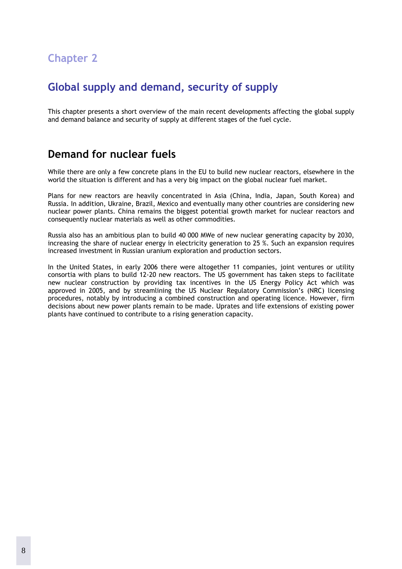# <span id="page-9-0"></span>**Chapter 2**

# <span id="page-9-1"></span>**Global supply and demand, security of supply**

This chapter presents a short overview of the main recent developments affecting the global supply and demand balance and security of supply at different stages of the fuel cycle.

### <span id="page-9-2"></span>**Demand for nuclear fuels**

While there are only a few concrete plans in the EU to build new nuclear reactors, elsewhere in the world the situation is different and has a very big impact on the global nuclear fuel market.

Plans for new reactors are heavily concentrated in Asia (China, India, Japan, South Korea) and Russia. In addition, Ukraine, Brazil, Mexico and eventually many other countries are considering new nuclear power plants. China remains the biggest potential growth market for nuclear reactors and consequently nuclear materials as well as other commodities.

Russia also has an ambitious plan to build 40 000 MWe of new nuclear generating capacity by 2030, increasing the share of nuclear energy in electricity generation to 25 %. Such an expansion requires increased investment in Russian uranium exploration and production sectors.

In the United States, in early 2006 there were altogether 11 companies, joint ventures or utility consortia with plans to build 12-20 new reactors. The US government has taken steps to facilitate new nuclear construction by providing tax incentives in the US Energy Policy Act which was approved in 2005, and by streamlining the US Nuclear Regulatory Commission's (NRC) licensing procedures, notably by introducing a combined construction and operating licence. However, firm decisions about new power plants remain to be made. Uprates and life extensions of existing power plants have continued to contribute to a rising generation capacity.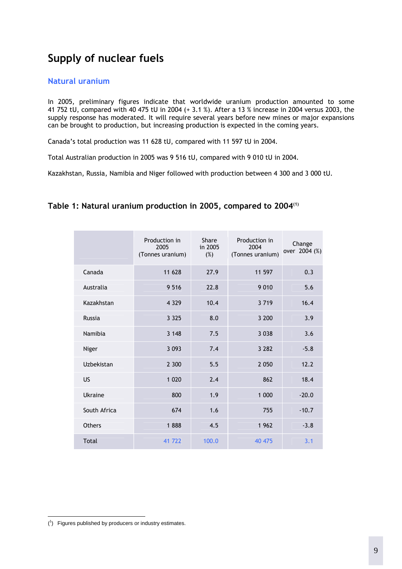# **Supply of nuclear fuels**

#### <span id="page-10-1"></span>**Natural uranium**

In 2005, preliminary figures indicate that worldwide uranium production amounted to some 41 752 tU, compared with 40 475 tU in 2004 (+ 3.1 %). After a 13 % increase in 2004 versus 2003, the supply response has moderated. It will require several years before new mines or major expansions can be brought to production, but increasing production is expected in the coming years.

Canada's total production was 11 628 tU, compared with 11 597 tU in 2004.

Total Australian production in 2005 was 9 516 tU, compared with 9 010 tU in 2004.

Kazakhstan, Russia, Namibia and Niger followed with production between 4 300 and 3 000 tU.

#### <span id="page-10-2"></span>**Table 1: Natural uranium production in 2005, compared to 2004(1)**

<span id="page-10-0"></span>

|               | Production in<br>2005<br>(Tonnes uranium) | Share<br>in 2005<br>$(\%)$ | Production in<br>2004<br>(Tonnes uranium) | Change<br>over 2004 (%) |
|---------------|-------------------------------------------|----------------------------|-------------------------------------------|-------------------------|
| Canada        | 11 628                                    | 27.9                       | 11 597                                    | 0.3                     |
| Australia     | 9 5 1 6                                   | 22.8                       | 9 0 1 0                                   | 5.6                     |
| Kazakhstan    | 4 3 2 9                                   | 10.4                       | 3719                                      | 16.4                    |
| Russia        | 3 3 2 5                                   | 8.0                        | 3 200                                     | 3.9                     |
| Namibia       | 3 1 4 8                                   | 7.5                        | 3 0 3 8                                   | 3.6                     |
| Niger         | 3 0 9 3                                   | 7.4                        | 3 2 8 2                                   | $-5.8$                  |
| Uzbekistan    | 2 300                                     | 5.5                        | 2 0 5 0                                   | 12.2                    |
| <b>US</b>     | 1 0 2 0                                   | 2.4                        | 862                                       | 18.4                    |
| Ukraine       | 800                                       | 1.9                        | 1 000                                     | $-20.0$                 |
| South Africa  | 674                                       | 1.6                        | 755                                       | $-10.7$                 |
| <b>Others</b> | 1888                                      | 4.5                        | 1962                                      | $-3.8$                  |
| Total         | 41 722                                    | 100.0                      | 40 475                                    | 3.1                     |

 $\overline{a}$  $(1)$  Figures published by producers or industry estimates.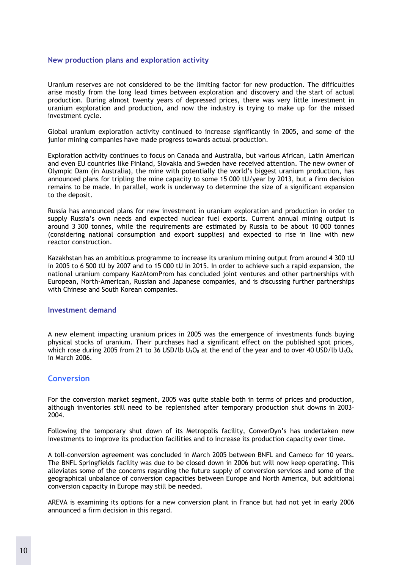#### **New production plans and exploration activity**

Uranium reserves are not considered to be the limiting factor for new production. The difficulties arise mostly from the long lead times between exploration and discovery and the start of actual production. During almost twenty years of depressed prices, there was very little investment in uranium exploration and production, and now the industry is trying to make up for the missed investment cycle.

Global uranium exploration activity continued to increase significantly in 2005, and some of the junior mining companies have made progress towards actual production.

Exploration activity continues to focus on Canada and Australia, but various African, Latin American and even EU countries like Finland, Slovakia and Sweden have received attention. The new owner of Olympic Dam (in Australia), the mine with potentially the world's biggest uranium production, has announced plans for tripling the mine capacity to some 15 000 tU/year by 2013, but a firm decision remains to be made. In parallel, work is underway to determine the size of a significant expansion to the deposit.

Russia has announced plans for new investment in uranium exploration and production in order to supply Russia's own needs and expected nuclear fuel exports. Current annual mining output is around 3 300 tonnes, while the requirements are estimated by Russia to be about 10 000 tonnes (considering national consumption and export supplies) and expected to rise in line with new reactor construction.

Kazakhstan has an ambitious programme to increase its uranium mining output from around 4 300 tU in 2005 to 6 500 tU by 2007 and to 15 000 tU in 2015. In order to achieve such a rapid expansion, the national uranium company KazAtomProm has concluded joint ventures and other partnerships with European, North-American, Russian and Japanese companies, and is discussing further partnerships with Chinese and South Korean companies.

#### **Investment demand**

A new element impacting uranium prices in 2005 was the emergence of investments funds buying physical stocks of uranium. Their purchases had a significant effect on the published spot prices, which rose during 2005 from 21 to 36 USD/lb  $U_3O_8$  at the end of the year and to over 40 USD/lb  $U_3O_8$ in March 2006.

#### <span id="page-11-0"></span>**Conversion**

For the conversion market segment, 2005 was quite stable both in terms of prices and production, although inventories still need to be replenished after temporary production shut downs in 2003– 2004.

Following the temporary shut down of its Metropolis facility, ConverDyn's has undertaken new investments to improve its production facilities and to increase its production capacity over time.

A toll-conversion agreement was concluded in March 2005 between BNFL and Cameco for 10 years. The BNFL Springfields facility was due to be closed down in 2006 but will now keep operating. This alleviates some of the concerns regarding the future supply of conversion services and some of the geographical unbalance of conversion capacities between Europe and North America, but additional conversion capacity in Europe may still be needed.

AREVA is examining its options for a new conversion plant in France but had not yet in early 2006 announced a firm decision in this regard.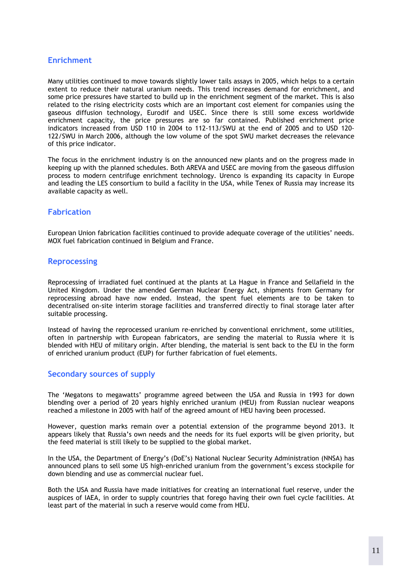#### <span id="page-12-0"></span>**Enrichment**

Many utilities continued to move towards slightly lower tails assays in 2005, which helps to a certain extent to reduce their natural uranium needs. This trend increases demand for enrichment, and some price pressures have started to build up in the enrichment segment of the market. This is also related to the rising electricity costs which are an important cost element for companies using the gaseous diffusion technology, Eurodif and USEC. Since there is still some excess worldwide enrichment capacity, the price pressures are so far contained. Published enrichment price indicators increased from USD 110 in 2004 to 112-113/SWU at the end of 2005 and to USD 120- 122/SWU in March 2006, although the low volume of the spot SWU market decreases the relevance of this price indicator.

The focus in the enrichment industry is on the announced new plants and on the progress made in keeping up with the planned schedules. Both AREVA and USEC are moving from the gaseous diffusion process to modern centrifuge enrichment technology. Urenco is expanding its capacity in Europe and leading the LES consortium to build a facility in the USA, while Tenex of Russia may increase its available capacity as well.

#### <span id="page-12-1"></span>**Fabrication**

European Union fabrication facilities continued to provide adequate coverage of the utilities' needs. MOX fuel fabrication continued in Belgium and France.

#### <span id="page-12-2"></span>**Reprocessing**

Reprocessing of irradiated fuel continued at the plants at La Hague in France and Sellafield in the United Kingdom. Under the amended German Nuclear Energy Act, shipments from Germany for reprocessing abroad have now ended. Instead, the spent fuel elements are to be taken to decentralised on-site interim storage facilities and transferred directly to final storage later after suitable processing.

Instead of having the reprocessed uranium re-enriched by conventional enrichment, some utilities, often in partnership with European fabricators, are sending the material to Russia where it is blended with HEU of military origin. After blending, the material is sent back to the EU in the form of enriched uranium product (EUP) for further fabrication of fuel elements.

#### <span id="page-12-3"></span>**Secondary sources of supply**

The 'Megatons to megawatts' programme agreed between the USA and Russia in 1993 for down blending over a period of 20 years highly enriched uranium (HEU) from Russian nuclear weapons reached a milestone in 2005 with half of the agreed amount of HEU having been processed.

However, question marks remain over a potential extension of the programme beyond 2013. It appears likely that Russia's own needs and the needs for its fuel exports will be given priority, but the feed material is still likely to be supplied to the global market.

In the USA, the Department of Energy's (DoE's) National Nuclear Security Administration (NNSA) has announced plans to sell some US high-enriched uranium from the government's excess stockpile for down blending and use as commercial nuclear fuel.

Both the USA and Russia have made initiatives for creating an international fuel reserve, under the auspices of IAEA, in order to supply countries that forego having their own fuel cycle facilities. At least part of the material in such a reserve would come from HEU.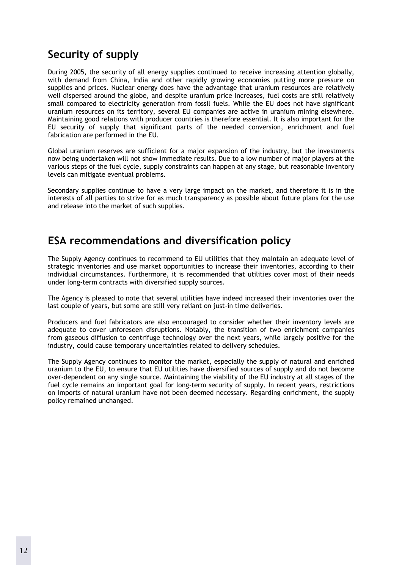# <span id="page-13-0"></span>**Security of supply**

During 2005, the security of all energy supplies continued to receive increasing attention globally, with demand from China, India and other rapidly growing economies putting more pressure on supplies and prices. Nuclear energy does have the advantage that uranium resources are relatively well dispersed around the globe, and despite uranium price increases, fuel costs are still relatively small compared to electricity generation from fossil fuels. While the EU does not have significant uranium resources on its territory, several EU companies are active in uranium mining elsewhere. Maintaining good relations with producer countries is therefore essential. It is also important for the EU security of supply that significant parts of the needed conversion, enrichment and fuel fabrication are performed in the EU.

Global uranium reserves are sufficient for a major expansion of the industry, but the investments now being undertaken will not show immediate results. Due to a low number of major players at the various steps of the fuel cycle, supply constraints can happen at any stage, but reasonable inventory levels can mitigate eventual problems.

Secondary supplies continue to have a very large impact on the market, and therefore it is in the interests of all parties to strive for as much transparency as possible about future plans for the use and release into the market of such supplies.

# <span id="page-13-1"></span>**ESA recommendations and diversification policy**

The Supply Agency continues to recommend to EU utilities that they maintain an adequate level of strategic inventories and use market opportunities to increase their inventories, according to their individual circumstances. Furthermore, it is recommended that utilities cover most of their needs under long-term contracts with diversified supply sources.

The Agency is pleased to note that several utilities have indeed increased their inventories over the last couple of years, but some are still very reliant on just-in time deliveries.

Producers and fuel fabricators are also encouraged to consider whether their inventory levels are adequate to cover unforeseen disruptions. Notably, the transition of two enrichment companies from gaseous diffusion to centrifuge technology over the next years, while largely positive for the industry, could cause temporary uncertainties related to delivery schedules.

The Supply Agency continues to monitor the market, especially the supply of natural and enriched uranium to the EU, to ensure that EU utilities have diversified sources of supply and do not become over-dependent on any single source. Maintaining the viability of the EU industry at all stages of the fuel cycle remains an important goal for long-term security of supply. In recent years, restrictions on imports of natural uranium have not been deemed necessary. Regarding enrichment, the supply policy remained unchanged.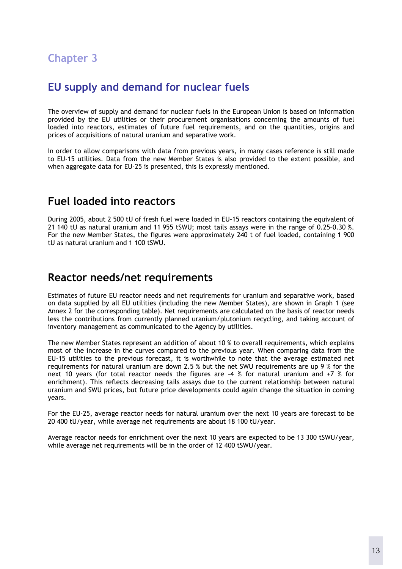# <span id="page-14-0"></span>**Chapter 3**

# <span id="page-14-1"></span>**EU supply and demand for nuclear fuels**

The overview of supply and demand for nuclear fuels in the European Union is based on information provided by the EU utilities or their procurement organisations concerning the amounts of fuel loaded into reactors, estimates of future fuel requirements, and on the quantities, origins and prices of acquisitions of natural uranium and separative work.

In order to allow comparisons with data from previous years, in many cases reference is still made to EU-15 utilities. Data from the new Member States is also provided to the extent possible, and when aggregate data for EU-25 is presented, this is expressly mentioned.

### <span id="page-14-2"></span>**Fuel loaded into reactors**

During 2005, about 2 500 tU of fresh fuel were loaded in EU-15 reactors containing the equivalent of 21 140 tU as natural uranium and 11 955 tSWU; most tails assays were in the range of 0.25–0.30 %. For the new Member States, the figures were approximately 240 t of fuel loaded, containing 1 900 tU as natural uranium and 1 100 tSWU.

### <span id="page-14-3"></span>**Reactor needs/net requirements**

Estimates of future EU reactor needs and net requirements for uranium and separative work, based on data supplied by all EU utilities (including the new Member States), are shown in Graph 1 (see Annex 2 for the corresponding table). Net requirements are calculated on the basis of reactor needs less the contributions from currently planned uranium/plutonium recycling, and taking account of inventory management as communicated to the Agency by utilities.

The new Member States represent an addition of about 10 % to overall requirements, which explains most of the increase in the curves compared to the previous year. When comparing data from the EU-15 utilities to the previous forecast, it is worthwhile to note that the average estimated net requirements for natural uranium are down 2.5 % but the net SWU requirements are up 9 % for the next 10 years (for total reactor needs the figures are -4 % for natural uranium and +7 % for enrichment). This reflects decreasing tails assays due to the current relationship between natural uranium and SWU prices, but future price developments could again change the situation in coming years.

For the EU-25, average reactor needs for natural uranium over the next 10 years are forecast to be 20 400 tU/year, while average net requirements are about 18 100 tU/year.

Average reactor needs for enrichment over the next 10 years are expected to be 13 300 tSWU/year, while average net requirements will be in the order of 12 400 tSWU/year.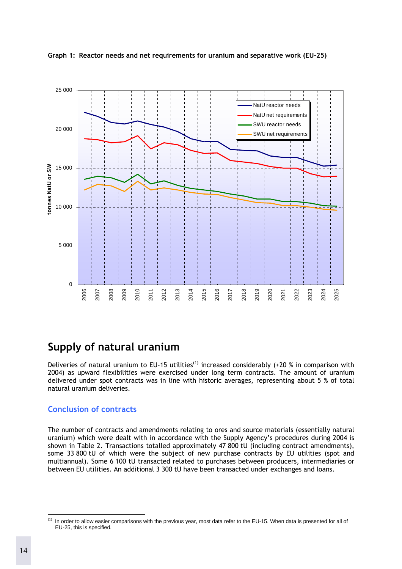

<span id="page-15-0"></span>

## <span id="page-15-1"></span>**Supply of natural uranium**

Deliveries of natural uranium to EU-15 utilities<sup>(1)</sup> increased considerably (+20 % in comparison with 2004) as upward flexibilities were exercised under long term contracts. The amount of uranium delivered under spot contracts was in line with historic averages, representing about 5 % of total natural uranium deliveries.

#### <span id="page-15-2"></span>**Conclusion of contracts**

The number of contracts and amendments relating to ores and source materials (essentially natural uranium) which were dealt with in accordance with the Supply Agency's procedures during 2004 is shown in Table 2. Transactions totalled approximately 47 800 tU (including contract amendments), some 33 800 tU of which were the subject of new purchase contracts by EU utilities (spot and multiannual). Some 6 100 tU transacted related to purchases between producers, intermediaries or between EU utilities. An additional 3 300 tU have been transacted under exchanges and loans.

 $(1)$ In order to allow easier comparisons with the previous year, most data refer to the EU-15. When data is presented for all of EU-25, this is specified.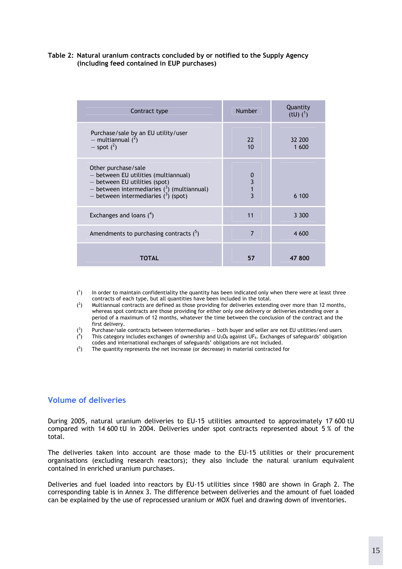#### <span id="page-16-0"></span>**Table 2: Natural uranium contracts concluded by or notified to the Supply Agency (including feed contained in EUP purchases)**

| Contract type                                                                                                                                                                          | <b>Number</b>           | Quantity<br>(tU) $(^{1})$ |
|----------------------------------------------------------------------------------------------------------------------------------------------------------------------------------------|-------------------------|---------------------------|
| Purchase/sale by an EU utility/user<br>- multiannual $(^2)$<br>$-$ spot $(^2)$                                                                                                         | 22<br>10                | 32 200<br>1 600           |
| Other purchase/sale<br>- between EU utilities (multiannual)<br>- between EU utilities (spot)<br>- between intermediaries $(3)$ (multiannual)<br>- between intermediaries $(^3)$ (spot) | 0<br>3<br>$\frac{1}{3}$ | 6 100                     |
| Exchanges and loans $(^4)$                                                                                                                                                             | 11                      | 3 3 0 0                   |
| Amendments to purchasing contracts $(^5)$                                                                                                                                              | $\overline{7}$          | 4 600                     |
| TOTAL                                                                                                                                                                                  | 57                      | 47 800                    |

- $($ <sup>1</sup> ) In order to maintain confidentiality the quantity has been indicated only when there were at least three contracts of each type, but all quantities have been included in the total.
- $($ <sup>2</sup> ) Multiannual contracts are defined as those providing for deliveries extending over more than 12 months, whereas spot contracts are those providing for either only one delivery or deliveries extending over a period of a maximum of 12 months, whatever the time between the conclusion of the contract and the first delivery.
- $(3)$ ) Purchase/sale contracts between intermediaries — both buyer and seller are not EU utilities/end users  $($ <sup>4</sup> This category includes exchanges of ownership and  $U_3O_8$  against UF<sub>6</sub>. Exchanges of safeguards' obligation
- codes and international exchanges of safeguards' obligations are not included.
- $(5)$ ) The quantity represents the net increase (or decrease) in material contracted for

#### <span id="page-16-1"></span>**Volume of deliveries**

During 2005, natural uranium deliveries to EU-15 utilities amounted to approximately 17 600 tU compared with 14 600 tU in 2004. Deliveries under spot contracts represented about 5 % of the total.

The deliveries taken into account are those made to the EU-15 utilities or their procurement organisations (excluding research reactors); they also include the natural uranium equivalent contained in enriched uranium purchases.

Deliveries and fuel loaded into reactors by EU-15 utilities since 1980 are shown in Graph 2. The corresponding table is in Annex 3. The difference between deliveries and the amount of fuel loaded can be explained by the use of reprocessed uranium or MOX fuel and drawing down of inventories.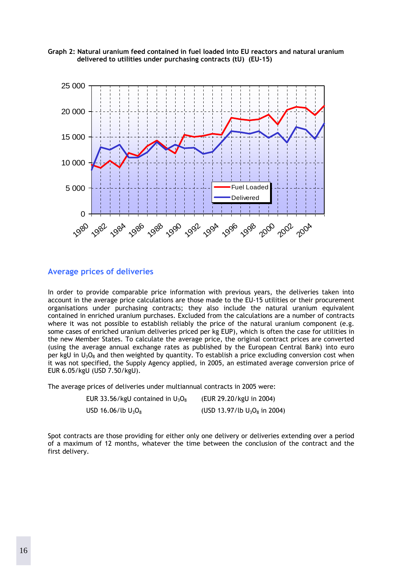<span id="page-17-0"></span>



#### <span id="page-17-1"></span>**Average prices of deliveries**

In order to provide comparable price information with previous years, the deliveries taken into account in the average price calculations are those made to the EU-15 utilities or their procurement organisations under purchasing contracts; they also include the natural uranium equivalent contained in enriched uranium purchases. Excluded from the calculations are a number of contracts where it was not possible to establish reliably the price of the natural uranium component (e.g. some cases of enriched uranium deliveries priced per kg EUP), which is often the case for utilities in the new Member States. To calculate the average price, the original contract prices are converted (using the average annual exchange rates as published by the European Central Bank) into euro per kgU in  $U_3O_8$  and then weighted by quantity. To establish a price excluding conversion cost when it was not specified, the Supply Agency applied, in 2005, an estimated average conversion price of EUR 6.05/kgU (USD 7.50/kgU).

The average prices of deliveries under multiannual contracts in 2005 were:

| EUR 33.56/kgU contained in $U_3O_8$ | (EUR 29.20/kgU in 2004)         |
|-------------------------------------|---------------------------------|
| USD 16.06/lb $U_3O_8$               | (USD 13.97/lb $U_3O_8$ in 2004) |

Spot contracts are those providing for either only one delivery or deliveries extending over a period of a maximum of 12 months, whatever the time between the conclusion of the contract and the first delivery.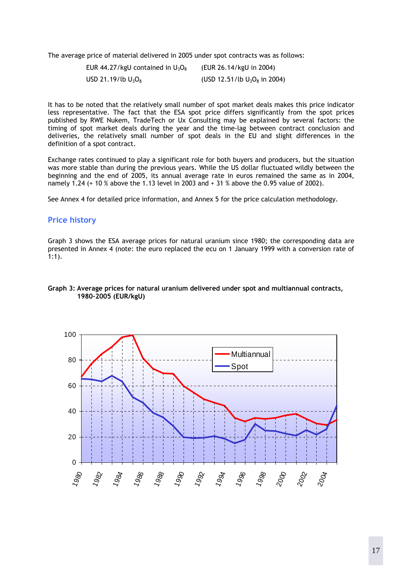The average price of material delivered in 2005 under spot contracts was as follows:

| EUR 44.27/kgU contained in $U_3O_8$ | (EUR 26.14/kgU in 2004)         |
|-------------------------------------|---------------------------------|
| USD 21.19/lb $U_3O_8$               | (USD 12.51/lb $U_3O_8$ in 2004) |

It has to be noted that the relatively small number of spot market deals makes this price indicator less representative. The fact that the ESA spot price differs significantly from the spot prices published by RWE Nukem, TradeTech or Ux Consulting may be explained by several factors: the timing of spot market deals during the year and the time-lag between contract conclusion and deliveries, the relatively small number of spot deals in the EU and slight differences in the definition of a spot contract.

Exchange rates continued to play a significant role for both buyers and producers, but the situation was more stable than during the previous years. While the US dollar fluctuated wildly between the beginning and the end of 2005, its annual average rate in euros remained the same as in 2004, namely 1.24 (+ 10 % above the 1.13 level in 2003 and + 31 % above the 0.95 value of 2002).

See Annex 4 for detailed price information, and Annex 5 for the price calculation methodology.

#### <span id="page-18-0"></span>**Price history**

Graph 3 shows the ESA average prices for natural uranium since 1980; the corresponding data are presented in Annex 4 (note: the euro replaced the ecu on 1 January 1999 with a conversion rate of 1:1).

#### <span id="page-18-1"></span>**Graph 3: Average prices for natural uranium delivered under spot and multiannual contracts, 1980–2005 (EUR/kgU)**

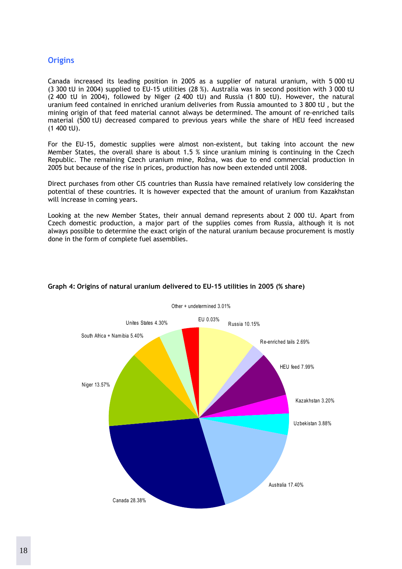#### <span id="page-19-0"></span>**Origins**

Canada increased its leading position in 2005 as a supplier of natural uranium, with 5 000 tU (3 300 tU in 2004) supplied to EU-15 utilities (28 %). Australia was in second position with 3 000 tU (2 400 tU in 2004), followed by Niger (2 400 tU) and Russia (1 800 tU). However, the natural uranium feed contained in enriched uranium deliveries from Russia amounted to 3 800 tU , but the mining origin of that feed material cannot always be determined. The amount of re-enriched tails material (500 tU) decreased compared to previous years while the share of HEU feed increased (1 400 tU).

For the EU-15, domestic supplies were almost non-existent, but taking into account the new Member States, the overall share is about 1.5 % since uranium mining is continuing in the Czech Republic. The remaining Czech uranium mine, Rožna, was due to end commercial production in 2005 but because of the rise in prices, production has now been extended until 2008.

Direct purchases from other CIS countries than Russia have remained relatively low considering the potential of these countries. It is however expected that the amount of uranium from Kazakhstan will increase in coming years.

Looking at the new Member States, their annual demand represents about 2 000 tU. Apart from Czech domestic production, a major part of the supplies comes from Russia, although it is not always possible to determine the exact origin of the natural uranium because procurement is mostly done in the form of complete fuel assemblies.



#### <span id="page-19-1"></span>**Graph 4: Origins of natural uranium delivered to EU-15 utilities in 2005 (% share)**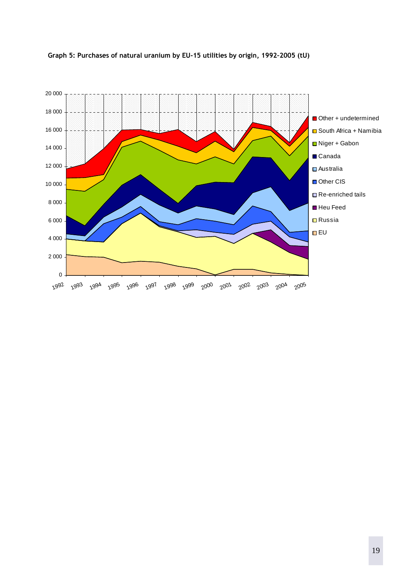

#### <span id="page-20-0"></span>**Graph 5: Purchases of natural uranium by EU-15 utilities by origin, 1992–2005 (tU)**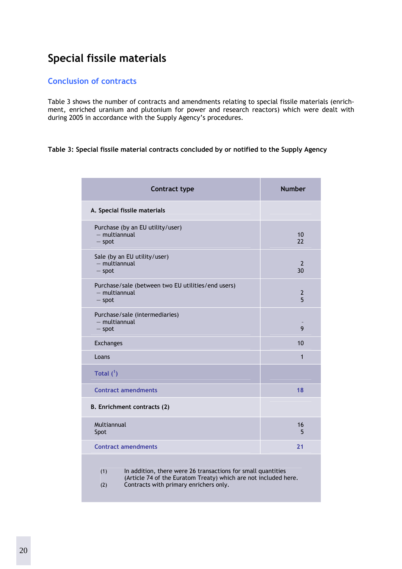# <span id="page-21-0"></span>**Special fissile materials**

#### <span id="page-21-1"></span>**Conclusion of contracts**

Table 3 shows the number of contracts and amendments relating to special fissile materials (enrichment, enriched uranium and plutonium for power and research reactors) which were dealt with during 2005 in accordance with the Supply Agency's procedures.

#### <span id="page-21-2"></span>**Table 3: Special fissile material contracts concluded by or notified to the Supply Agency**

| <b>Contract type</b>                                                                                                                                                                    | <b>Number</b>        |  |  |  |
|-----------------------------------------------------------------------------------------------------------------------------------------------------------------------------------------|----------------------|--|--|--|
| A. Special fissile materials                                                                                                                                                            |                      |  |  |  |
| Purchase (by an EU utility/user)<br>- multiannual<br>$-$ spot                                                                                                                           | 10<br>22             |  |  |  |
| Sale (by an EU utility/user)<br>$-$ multiannual<br>$-$ spot                                                                                                                             | $\overline{2}$<br>30 |  |  |  |
| Purchase/sale (between two EU utilities/end users)<br>$-$ multiannual<br>$-$ spot                                                                                                       | 2<br>5               |  |  |  |
| Purchase/sale (intermediaries)<br>$-$ multiannual<br>$-$ spot                                                                                                                           | 9                    |  |  |  |
| <b>Exchanges</b>                                                                                                                                                                        | 10                   |  |  |  |
| Loans                                                                                                                                                                                   | $\mathbf{1}$         |  |  |  |
| Total $(^1)$                                                                                                                                                                            |                      |  |  |  |
| <b>Contract amendments</b>                                                                                                                                                              | 18                   |  |  |  |
| B. Enrichment contracts (2)                                                                                                                                                             |                      |  |  |  |
| Multiannual<br>Spot                                                                                                                                                                     | 16<br>5              |  |  |  |
| <b>Contract amendments</b>                                                                                                                                                              | 21                   |  |  |  |
| In addition, there were 26 transactions for small quantities<br>(1)<br>(Article 74 of the Euratom Treaty) which are not included here.<br>Contracts with primary enrichers only.<br>(2) |                      |  |  |  |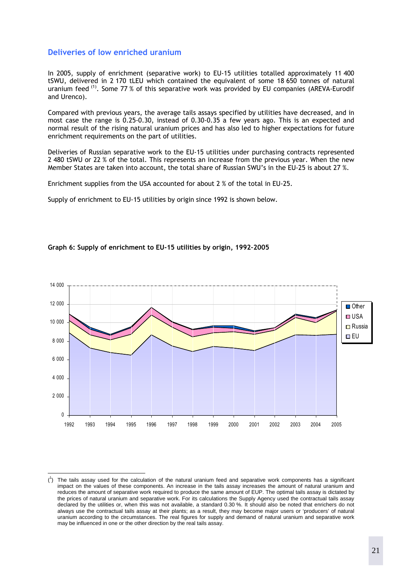#### <span id="page-22-0"></span>**Deliveries of low enriched uranium**

 $\overline{a}$ 

In 2005, supply of enrichment (separative work) to EU-15 utilities totalled approximately 11 400 tSWU, delivered in 2 170 tLEU which contained the equivalent of some 18 650 tonnes of natural uranium feed <sup>(1)</sup>. Some 77 % of this separative work was provided by EU companies (AREVA-Eurodif and Urenco).

Compared with previous years, the average tails assays specified by utilities have decreased, and in most case the range is 0.25-0.30, instead of 0.30-0.35 a few years ago. This is an expected and normal result of the rising natural uranium prices and has also led to higher expectations for future enrichment requirements on the part of utilities.

Deliveries of Russian separative work to the EU-15 utilities under purchasing contracts represented 2 480 tSWU or 22 % of the total. This represents an increase from the previous year. When the new Member States are taken into account, the total share of Russian SWU's in the EU-25 is about 27 %.

Enrichment supplies from the USA accounted for about 2 % of the total in EU-25.

Supply of enrichment to EU-15 utilities by origin since 1992 is shown below.

<span id="page-22-1"></span>



 $\binom{1}{1}$  The tails assay used for the calculation of the natural uranium feed and separative work components has a significant impact on the values of these components. An increase in the tails assay increases the amount of natural uranium and reduces the amount of separative work required to produce the same amount of EUP. The optimal tails assay is dictated by the prices of natural uranium and separative work. For its calculations the Supply Agency used the contractual tails assay declared by the utilities or, when this was not available, a standard 0.30 %. It should also be noted that enrichers do not always use the contractual tails assay at their plants; as a result, they may become major users or 'producers' of natural uranium according to the circumstances. The real figures for supply and demand of natural uranium and separative work may be influenced in one or the other direction by the real tails assay.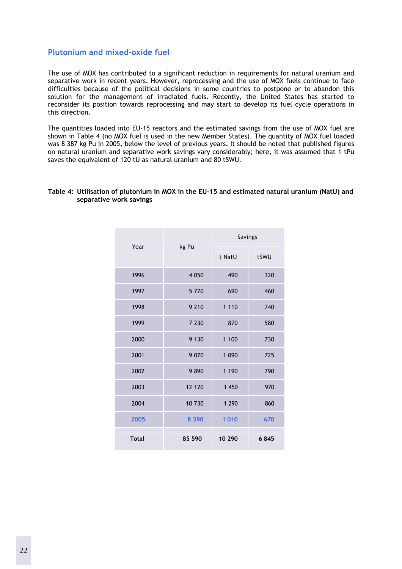#### <span id="page-23-0"></span>**Plutonium and mixed-oxide fuel**

The use of MOX has contributed to a significant reduction in requirements for natural uranium and separative work in recent years. However, reprocessing and the use of MOX fuels continue to face difficulties because of the political decisions in some countries to postpone or to abandon this solution for the management of irradiated fuels. Recently, the United States has started to reconsider its position towards reprocessing and may start to develop its fuel cycle operations in this direction.

The quantities loaded into EU-15 reactors and the estimated savings from the use of MOX fuel are shown in Table 4 (no MOX fuel is used in the new Member States). The quantity of MOX fuel loaded was 8 387 kg Pu in 2005, below the level of previous years. It should be noted that published figures on natural uranium and separative work savings vary considerably; here, it was assumed that 1 tPu saves the equivalent of 120 tU as natural uranium and 80 tSWU.

#### <span id="page-23-1"></span>**Table 4: Utilisation of plutonium in MOX in the EU-15 and estimated natural uranium (NatU) and separative work savings**

|              |         | Savings |      |
|--------------|---------|---------|------|
| Year         | kg Pu   | t NatU  | tSWU |
| 1996         | 4 0 5 0 | 490     | 320  |
| 1997         | 5770    | 690     | 460  |
| 1998         | 9 2 1 0 | 1 1 1 0 | 740  |
| 1999         | 7 2 3 0 | 870     | 580  |
| 2000         | 9 1 3 0 | 1 100   | 730  |
| 2001         | 9 0 7 0 | 1 0 9 0 | 725  |
| 2002         | 9890    | 1 1 9 0 | 790  |
| 2003         | 12 120  | 1 450   | 970  |
| 2004         | 10730   | 1 2 9 0 | 860  |
| 2005         | 8 3 9 0 | 1010    | 670  |
| <b>Total</b> | 85 590  | 10 290  | 6845 |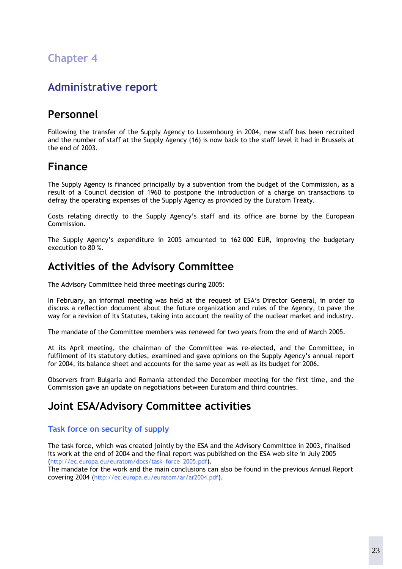# <span id="page-24-0"></span>**Chapter 4**

# <span id="page-24-1"></span>**Administrative report**

# <span id="page-24-2"></span>**Personnel**

Following the transfer of the Supply Agency to Luxembourg in 2004, new staff has been recruited and the number of staff at the Supply Agency (16) is now back to the staff level it had in Brussels at the end of 2003.

# <span id="page-24-3"></span>**Finance**

The Supply Agency is financed principally by a subvention from the budget of the Commission, as a result of a Council decision of 1960 to postpone the introduction of a charge on transactions to defray the operating expenses of the Supply Agency as provided by the Euratom Treaty.

Costs relating directly to the Supply Agency's staff and its office are borne by the European Commission.

The Supply Agency's expenditure in 2005 amounted to 162 000 EUR, improving the budgetary execution to 80 %.

# <span id="page-24-4"></span>**Activities of the Advisory Committee**

The Advisory Committee held three meetings during 2005:

In February, an informal meeting was held at the request of ESA's Director General, in order to discuss a reflection document about the future organization and rules of the Agency, to pave the way for a revision of its Statutes, taking into account the reality of the nuclear market and industry.

The mandate of the Committee members was renewed for two years from the end of March 2005.

At its April meeting, the chairman of the Committee was re-elected, and the Committee, in fulfilment of its statutory duties, examined and gave opinions on the Supply Agency's annual report for 2004, its balance sheet and accounts for the same year as well as its budget for 2006.

Observers from Bulgaria and Romania attended the December meeting for the first time, and the Commission gave an update on negotiations between Euratom and third countries.

# <span id="page-24-5"></span>**Joint ESA/Advisory Committee activities**

#### <span id="page-24-6"></span>**Task force on security of supply**

The task force, which was created jointly by the ESA and the Advisory Committee in 2003, finalised its work at the end of 2004 and the final report was published on the ESA web site in July 2005 [\(http://ec.europa.eu/euratom/docs/task\\_force\\_2005.pdf\)](http://ec.europa.eu/euratom/docs/task_force_2005.pdf).

The mandate for the work and the main conclusions can also be found in the previous Annual Report covering 2004 [\(http://ec.europa.eu/euratom/ar/ar2004.pdf\)](http://ec.europa.eu/euratom/ar/ar2004.pdf).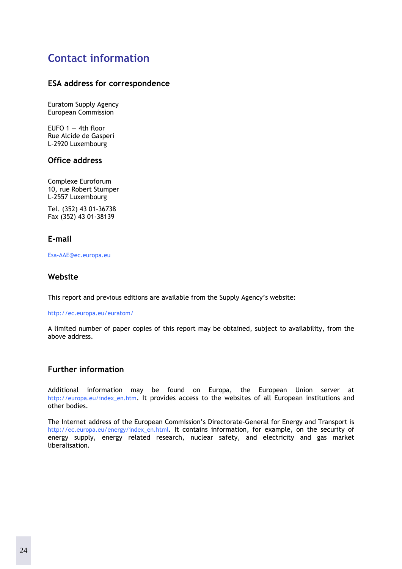# <span id="page-25-0"></span>**Contact information**

#### **ESA address for correspondence**

Euratom Supply Agency European Commission

EUFO  $1 - 4$ th floor Rue Alcide de Gasperi L-2920 Luxembourg

#### **Office address**

Complexe Euroforum 10, rue Robert Stumper L-2557 Luxembourg

Tel. (352) 43 01-36738 Fax (352) 43 01-38139

#### **E-mail**

[Esa-AAE@ec.europa.eu](mailto:Esa-AAE@ec.europa.eu) 

#### **Website**

This report and previous editions are available from the Supply Agency's website:

<http://ec.europa.eu/euratom/>

A limited number of paper copies of this report may be obtained, subject to availability, from the above address.

#### **Further information**

Additional information may be found on Europa, the European Union server at [http://europa.eu/index\\_en.htm.](http://europa.eu/index_en.htm) It provides access to the websites of all European institutions and other bodies.

The Internet address of the European Commission's Directorate-General for Energy and Transport is [http://ec.europa.eu/energy/index\\_en.html.](http://europa.eu.int/comm/energy/index_en.html) It contains information, for example, on the security of energy supply, energy related research, nuclear safety, and electricity and gas market liberalisation.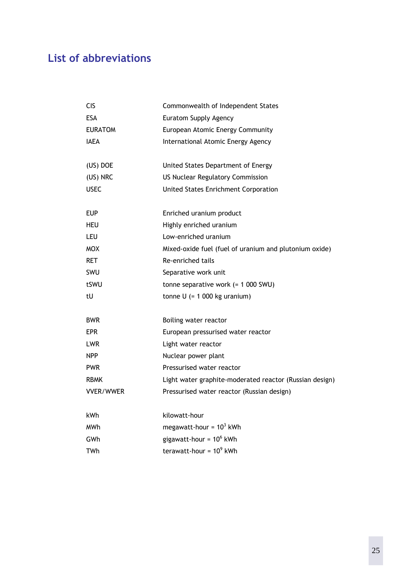# <span id="page-26-0"></span>**List of abbreviations**

| <b>CIS</b>       | Commonwealth of Independent States                      |
|------------------|---------------------------------------------------------|
| <b>ESA</b>       | Euratom Supply Agency                                   |
| <b>EURATOM</b>   | European Atomic Energy Community                        |
| <b>IAEA</b>      | International Atomic Energy Agency                      |
| (US) DOE         | United States Department of Energy                      |
| (US) NRC         | <b>US Nuclear Regulatory Commission</b>                 |
| <b>USEC</b>      | <b>United States Enrichment Corporation</b>             |
| <b>EUP</b>       | Enriched uranium product                                |
| <b>HEU</b>       | Highly enriched uranium                                 |
| <b>LEU</b>       | Low-enriched uranium                                    |
| <b>MOX</b>       | Mixed-oxide fuel (fuel of uranium and plutonium oxide)  |
| <b>RET</b>       | Re-enriched tails                                       |
| <b>SWU</b>       | Separative work unit                                    |
| tSWU             | tonne separative work $(= 1 000$ SWU)                   |
| tU               | tonne $U$ (= 1 000 kg uranium)                          |
| <b>BWR</b>       | Boiling water reactor                                   |
| <b>EPR</b>       | European pressurised water reactor                      |
| <b>LWR</b>       | Light water reactor                                     |
| <b>NPP</b>       | Nuclear power plant                                     |
| <b>PWR</b>       | Pressurised water reactor                               |
| <b>RBMK</b>      | Light water graphite-moderated reactor (Russian design) |
| <b>VVER/WWER</b> | Pressurised water reactor (Russian design)              |
| kWh              | kilowatt-hour                                           |
| <b>MWh</b>       | megawatt-hour = $10^3$ kWh                              |
| GWh              | gigawatt-hour = $10^6$ kWh                              |
| <b>TWh</b>       | terawatt-hour = $10^9$ kWh                              |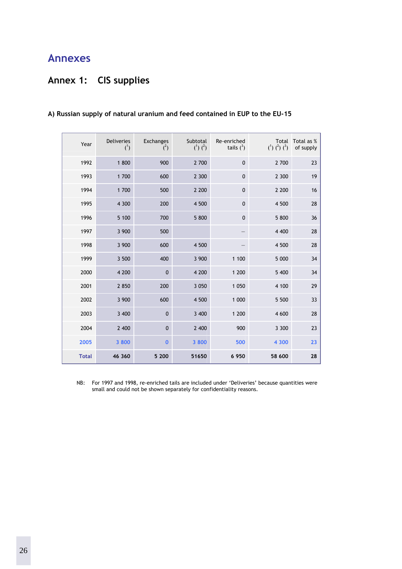# <span id="page-27-0"></span>**Annexes**

# <span id="page-27-1"></span>**Annex 1: CIS supplies**

| Year         | <b>Deliveries</b><br>$(^{1})$ | Exchanges<br>$(^{2})$ | Subtotal<br>$(^{1})$ $(^{2})$ | Re-enriched<br>tails $(^3)$ | Total<br>$(^{1})$ $(^{2})$ $(^{3})$ | Total as %<br>of supply |
|--------------|-------------------------------|-----------------------|-------------------------------|-----------------------------|-------------------------------------|-------------------------|
| 1992         | 1 800                         | 900                   | 2 700                         | $\mathbf{0}$                | 2 700                               | 23                      |
| 1993         | 1 700                         | 600                   | 2 300                         | $\mathbf 0$                 | 2 300                               | 19                      |
| 1994         | 1 700                         | 500                   | 2 2 0 0                       | $\mathbf 0$                 | 2 2 0 0                             | 16                      |
| 1995         | 4 300                         | 200                   | 4 500                         | $\mathbf 0$                 | 4 500                               | 28                      |
| 1996         | 5 100                         | 700                   | 5 800                         | $\mathbf 0$                 | 5 800                               | 36                      |
| 1997         | 3 900                         | 500                   |                               |                             | 4 4 0 0                             | 28                      |
| 1998         | 3 900                         | 600                   | 4 500                         |                             | 4 500                               | 28                      |
| 1999         | 3 500                         | 400                   | 3 900                         | 1 100                       | 5 000                               | 34                      |
| 2000         | 4 200                         | $\mathbf{0}$          | 4 200                         | 1 200                       | 5 400                               | 34                      |
| 2001         | 2 8 5 0                       | 200                   | 3 0 5 0                       | 1 0 5 0                     | 4 100                               | 29                      |
| 2002         | 3 900                         | 600                   | 4 500                         | 1 000                       | 5 500                               | 33                      |
| 2003         | 3 400                         | $\mathbf{0}$          | 3 400                         | 1 200                       | 4 600                               | 28                      |
| 2004         | 2 400                         | $\mathbf{0}$          | 2 400                         | 900                         | 3 3 0 0                             | 23                      |
| 2005         | 3 800                         | $\bf{0}$              | 3 800                         | 500                         | 4 300                               | 23                      |
| <b>Total</b> | 46 360                        | 5 200                 | 51650                         | 6 9 5 0                     | 58 600                              | 28                      |

#### **A) Russian supply of natural uranium and feed contained in EUP to the EU-15**

NB: For 1997 and 1998, re-enriched tails are included under 'Deliveries' because quantities were small and could not be shown separately for confidentiality reasons.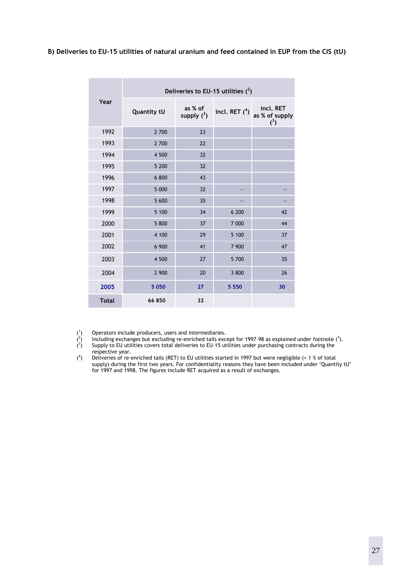**B) Deliveries to EU-15 utilities of natural uranium and feed contained in EUP from the CIS (tU)** 

|              | Deliveries to EU-15 utilities $(^2)$ |                          |                  |                                       |  |
|--------------|--------------------------------------|--------------------------|------------------|---------------------------------------|--|
| Year         | <b>Quantity tU</b>                   | as % of<br>supply $(^3)$ | incl. RET $(^4)$ | incl. RET<br>as % of supply<br>$(^3)$ |  |
| 1992         | 2 700                                | 23                       |                  |                                       |  |
| 1993         | 2 700                                | 22                       |                  |                                       |  |
| 1994         | 4 500                                | 32                       |                  |                                       |  |
| 1995         | 5 200                                | 32                       |                  |                                       |  |
| 1996         | 6 800                                | 43                       |                  |                                       |  |
| 1997         | 5 000                                | 32                       |                  |                                       |  |
| 1998         | 5 600                                | 35                       |                  |                                       |  |
| 1999         | 5 100                                | 34                       | 6 200            | 42                                    |  |
| 2000         | 5 800                                | 37                       | 7 000            | 44                                    |  |
| 2001         | 4 100                                | 29                       | 5 100            | 37                                    |  |
| 2002         | 6 900                                | 41                       | 7 900            | 47                                    |  |
| 2003         | 4 500                                | 27                       | 5 700            | 35                                    |  |
| 2004         | 2 900                                | 20                       | 3 800            | 26                                    |  |
| 2005         | 5 0 5 0                              | 27                       | 5 5 5 0          | 30                                    |  |
| <b>Total</b> | 66850                                | 32                       |                  |                                       |  |

 $($ <sup>1</sup> ) Operators include producers, users and intermediaries.

 $($ <sup>2</sup> ) Including exchanges but excluding re-enriched tails except for 1997–98 as explained under footnote (<sup>4</sup> ).

 $(3)$ ) Supply to EU utilities covers total deliveries to EU-15 utilities under purchasing contracts during the respective year.

 $($ <sup>4</sup> ) Deliveries of re-enriched tails (RET) to EU utilities started in 1997 but were negligible (< 1 % of total supply) during the first two years. For confidentiality reasons they have been included under 'Quantity tU' for 1997 and 1998. The figures include RET acquired as a result of exchanges.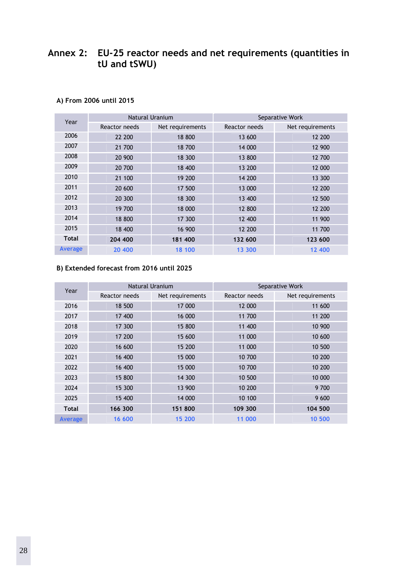### <span id="page-29-0"></span>**Annex 2: EU-25 reactor needs and net requirements (quantities in tU and tSWU)**

| Year           |               | Natural Uranium  |               | Separative Work  |  |
|----------------|---------------|------------------|---------------|------------------|--|
|                | Reactor needs | Net requirements | Reactor needs | Net requirements |  |
| 2006           | 22 200        | 18 800           | 13 600        | 12 200           |  |
| 2007           | 21 700        | 18 700           | 14 000        | 12 900           |  |
| 2008           | 20 900        | 18 300           | 13 800        | 12 700           |  |
| 2009           | 20 700        | 18 400           | 13 200        | 12 000           |  |
| 2010           | 21 100        | 19 200           | 14 200        | 13 300           |  |
| 2011           | 20 600        | 17 500           | 13 000        | 12 200           |  |
| 2012           | 20 300        | 18 300           | 13 400        | 12 500           |  |
| 2013           | 19 700        | 18 000           | 12 800        | 12 200           |  |
| 2014           | 18 800        | 17 300           | 12 400        | 11 900           |  |
| 2015           | 18 400        | 16 900           | 12 200        | 11 700           |  |
| <b>Total</b>   | 204 400       | 181 400          | 132 600       | 123 600          |  |
| <b>Average</b> | 20 400        | 18 100           | 13 300        | 12 400           |  |

#### **A) From 2006 until 2015**

#### **B) Extended forecast from 2016 until 2025**

| Year           | <b>Natural Uranium</b> |                  | Separative Work |                  |  |
|----------------|------------------------|------------------|-----------------|------------------|--|
|                | Reactor needs          | Net requirements | Reactor needs   | Net requirements |  |
| 2016           | 18 500                 | 17 000           | 12 000          | 11 600           |  |
| 2017           | 17 400                 | 16 000           | 11 700          | 11 200           |  |
| 2018           | 17 300                 | 15 800           | 11 400          | 10 900           |  |
| 2019           | 17 200                 | 15 600           | 11 000          | 10 600           |  |
| 2020           | 16 600                 | 15 200           | 11 000          | 10 500           |  |
| 2021           | 16 400                 | 15 000           | 10 700          | 10 200           |  |
| 2022           | 16 400                 | 15 000           | 10 700          | 10 200           |  |
| 2023           | 15 800                 | 14 300           | 10 500          | 10 000           |  |
| 2024           | 15 300                 | 13 900           | 10 200          | 9 700            |  |
| 2025           | 15 400                 | 14 000           | 10 100          | 9 600            |  |
| <b>Total</b>   | 166 300                | 151 800          | 109 300         | 104 500          |  |
| <b>Average</b> | 16 600                 | 15 200           | 11 000          | 10 500           |  |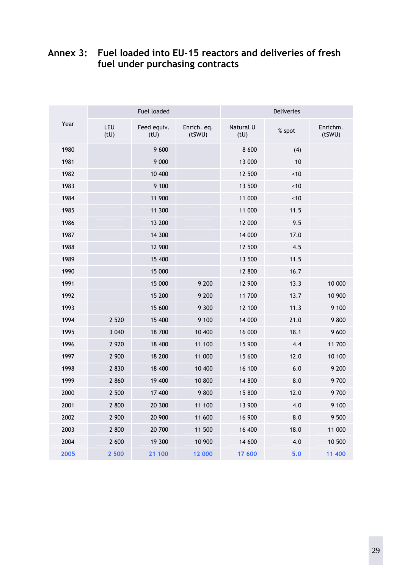# <span id="page-30-0"></span>**Annex 3: Fuel loaded into EU-15 reactors and deliveries of fresh fuel under purchasing contracts**

| Year | Fuel loaded |                    |                       | Deliveries        |        |                    |
|------|-------------|--------------------|-----------------------|-------------------|--------|--------------------|
|      | LEU<br>(tU) | Feed equiv.<br>(U) | Enrich. eq.<br>(tSWU) | Natural U<br>(tU) | % spot | Enrichm.<br>(tSWU) |
| 1980 |             | 9 600              |                       | 8 600             | (4)    |                    |
| 1981 |             | 9 0 0 0            |                       | 13 000            | 10     |                    |
| 1982 |             | 10 400             |                       | 12 500            | ~10    |                    |
| 1983 |             | 9 100              |                       | 13 500            | ~10    |                    |
| 1984 |             | 11 900             |                       | 11 000            | $~10$  |                    |
| 1985 |             | 11 300             |                       | 11 000            | 11.5   |                    |
| 1986 |             | 13 200             |                       | 12 000            | 9.5    |                    |
| 1987 |             | 14 300             |                       | 14 000            | 17.0   |                    |
| 1988 |             | 12 900             |                       | 12 500            | 4.5    |                    |
| 1989 |             | 15 400             |                       | 13 500            | 11.5   |                    |
| 1990 |             | 15 000             |                       | 12 800            | 16.7   |                    |
| 1991 |             | 15 000             | 9 200                 | 12 900            | 13.3   | 10 000             |
| 1992 |             | 15 200             | 9 200                 | 11 700            | 13.7   | 10 900             |
| 1993 |             | 15 600             | 9 3 0 0               | 12 100            | 11.3   | 9 100              |
| 1994 | 2 5 2 0     | 15 400             | 9 100                 | 14 000            | 21.0   | 9800               |
| 1995 | 3 0 4 0     | 18 700             | 10 400                | 16 000            | 18.1   | 9 600              |
| 1996 | 2 9 2 0     | 18 400             | 11 100                | 15 900            | 4.4    | 11 700             |
| 1997 | 2 900       | 18 200             | 11 000                | 15 600            | 12.0   | 10 100             |
| 1998 | 2 8 3 0     | 18 400             | 10 400                | 16 100            | 6.0    | 9 200              |
| 1999 | 2 8 6 0     | 19 400             | 10 800                | 14 800            | 8.0    | 9700               |
| 2000 | 2 500       | 17 400             | 9800                  | 15 800            | 12.0   | 9 700              |
| 2001 | 2 800       | 20 300             | 11 100                | 13 900            | 4.0    | 9 100              |
| 2002 | 2 900       | 20 900             | 11 600                | 16 900            | 8.0    | 9 500              |
| 2003 | 2 800       | 20 700             | 11 500                | 16 400            | 18.0   | 11 000             |
| 2004 | 2 600       | 19 300             | 10 900                | 14 600            | 4.0    | 10 500             |
| 2005 | 2 500       | 21 100             | 12 000                | 17 600            | 5.0    | 11 400             |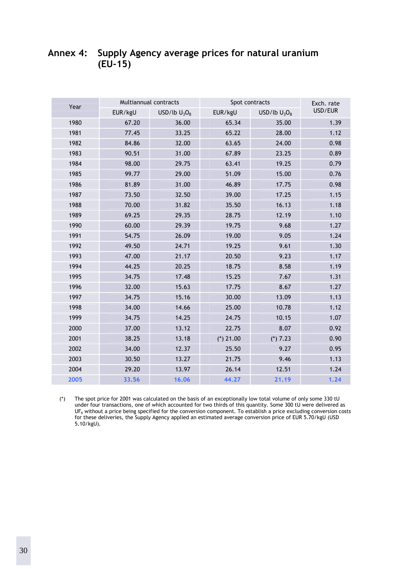### <span id="page-31-0"></span>**Annex 4: Supply Agency average prices for natural uranium (EU-15)**

| Year | Multiannual contracts |                 | Spot contracts |                 | Exch. rate |
|------|-----------------------|-----------------|----------------|-----------------|------------|
|      | EUR/kgU               | USD/lb $U_3O_8$ | EUR/kgU        | USD/lb $U_3O_8$ | USD/EUR    |
| 1980 | 67.20                 | 36.00           | 65.34          | 35.00           | 1.39       |
| 1981 | 77.45                 | 33.25           | 65.22          | 28.00           | 1.12       |
| 1982 | 84.86                 | 32.00           | 63.65          | 24.00           | 0.98       |
| 1983 | 90.51                 | 31.00           | 67.89          | 23.25           | 0.89       |
| 1984 | 98.00                 | 29.75           | 63.41          | 19.25           | 0.79       |
| 1985 | 99.77                 | 29.00           | 51.09          | 15.00           | 0.76       |
| 1986 | 81.89                 | 31.00           | 46.89          | 17.75           | 0.98       |
| 1987 | 73.50                 | 32.50           | 39.00          | 17.25           | 1.15       |
| 1988 | 70.00                 | 31.82           | 35.50          | 16.13           | 1.18       |
| 1989 | 69.25                 | 29.35           | 28.75          | 12.19           | 1.10       |
| 1990 | 60.00                 | 29.39           | 19.75          | 9.68            | 1.27       |
| 1991 | 54.75                 | 26.09           | 19.00          | 9.05            | 1.24       |
| 1992 | 49.50                 | 24.71           | 19.25          | 9.61            | 1.30       |
| 1993 | 47.00                 | 21.17           | 20.50          | 9.23            | 1.17       |
| 1994 | 44.25                 | 20.25           | 18.75          | 8.58            | 1.19       |
| 1995 | 34.75                 | 17.48           | 15.25          | 7.67            | 1.31       |
| 1996 | 32.00                 | 15.63           | 17.75          | 8.67            | 1.27       |
| 1997 | 34.75                 | 15.16           | 30.00          | 13.09           | 1.13       |
| 1998 | 34.00                 | 14.66           | 25.00          | 10.78           | 1.12       |
| 1999 | 34.75                 | 14.25           | 24.75          | 10.15           | 1.07       |
| 2000 | 37.00                 | 13.12           | 22.75          | 8.07            | 0.92       |
| 2001 | 38.25                 | 13.18           | (*) $21.00$    | $(*)7.23$       | 0.90       |
| 2002 | 34.00                 | 12.37           | 25.50          | 9.27            | 0.95       |
| 2003 | 30.50                 | 13.27           | 21.75          | 9.46            | 1.13       |
| 2004 | 29.20                 | 13.97           | 26.14          | 12.51           | 1.24       |
| 2005 | 33.56                 | 16.06           | 44.27          | 21.19           | 1.24       |
|      |                       |                 |                |                 |            |

(\*) The spot price for 2001 was calculated on the basis of an exceptionally low total volume of only some 330 tU under four transactions, one of which accounted for two thirds of this quantity. Some 300 tU were delivered as UF<sub>6</sub> without a price being specified for the conversion component. To establish a price excluding conversion costs for these deliveries, the Supply Agency applied an estimated average conversion price of EUR 5.70/kgU (USD 5.10/kgU).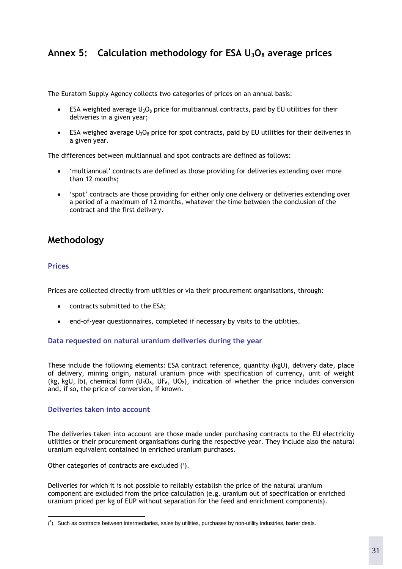### <span id="page-32-0"></span>Annex 5: Calculation methodology for ESA U<sub>3</sub>O<sub>8</sub> average prices

The Euratom Supply Agency collects two categories of prices on an annual basis:

- ESA weighted average  $U_3O_8$  price for multiannual contracts, paid by EU utilities for their deliveries in a given year;
- ESA weighed average  $U_3O_8$  price for spot contracts, paid by EU utilities for their deliveries in a given year.

The differences between multiannual and spot contracts are defined as follows:

- 'multiannual' contracts are defined as those providing for deliveries extending over more than 12 months;
- 'spot' contracts are those providing for either only one delivery or deliveries extending over a period of a maximum of 12 months, whatever the time between the conclusion of the contract and the first delivery.

### **Methodology**

#### **Prices**

 $\overline{a}$ 

Prices are collected directly from utilities or via their procurement organisations, through:

- contracts submitted to the ESA;
- end-of-year questionnaires, completed if necessary by visits to the utilities.

#### **Data requested on natural uranium deliveries during the year**

These include the following elements: ESA contract reference, quantity (kgU), delivery date, place of delivery, mining origin, natural uranium price with specification of currency, unit of weight (kg, kgU, lb), chemical form (U<sub>3</sub>O<sub>8</sub>, UF<sub>6</sub>, UO<sub>2</sub>), indication of whether the price includes conversion and, if so, the price of conversion, if known.

#### **Deliveries taken into account**

The deliveries taken into account are those made under purchasing contracts to the EU electricity utilities or their procurement organisations during the respective year. They include also the natural uranium equivalent contained in enriched uranium purchases.

Other categories of contracts are excluded (1).

Deliveries for which it is not possible to reliably establish the price of the natural uranium component are excluded from the price calculation (e.g. uranium out of specification or enriched uranium priced per kg of EUP without separation for the feed and enrichment components).

 $\binom{1}{1}$  Such as contracts between intermediaries, sales by utilities, purchases by non-utility industries, barter deals.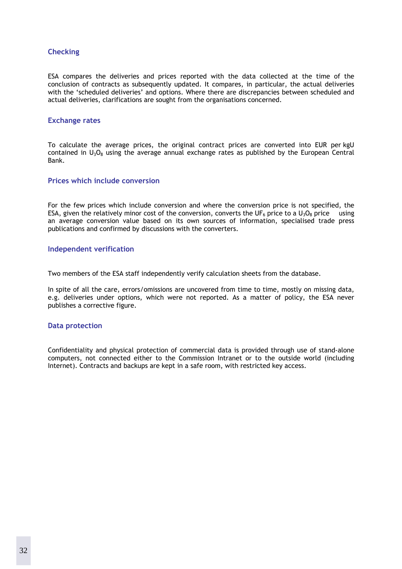#### **Checking**

ESA compares the deliveries and prices reported with the data collected at the time of the conclusion of contracts as subsequently updated. It compares, in particular, the actual deliveries with the 'scheduled deliveries' and options. Where there are discrepancies between scheduled and actual deliveries, clarifications are sought from the organisations concerned.

#### **Exchange rates**

To calculate the average prices, the original contract prices are converted into EUR per kgU contained in  $U_3O_8$  using the average annual exchange rates as published by the European Central Bank.

#### **Prices which include conversion**

For the few prices which include conversion and where the conversion price is not specified, the ESA, given the relatively minor cost of the conversion, converts the UF<sub>6</sub> price to a U<sub>3</sub>O<sub>8</sub> price using an average conversion value based on its own sources of information, specialised trade press publications and confirmed by discussions with the converters.

#### **Independent verification**

Two members of the ESA staff independently verify calculation sheets from the database.

In spite of all the care, errors/omissions are uncovered from time to time, mostly on missing data, e.g. deliveries under options, which were not reported. As a matter of policy, the ESA never publishes a corrective figure.

#### **Data protection**

Confidentiality and physical protection of commercial data is provided through use of stand-alone computers, not connected either to the Commission Intranet or to the outside world (including Internet). Contracts and backups are kept in a safe room, with restricted key access.